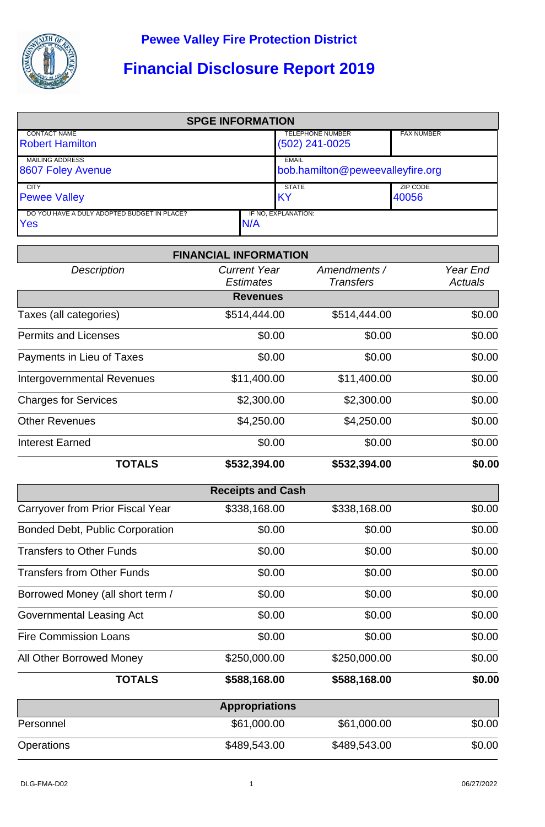

## **Financial Disclosure Report 2019**

| <b>SPGE INFORMATION</b>                       |      |                                  |                   |  |  |
|-----------------------------------------------|------|----------------------------------|-------------------|--|--|
| <b>CONTACT NAME</b><br><b>Robert Hamilton</b> |      | <b>TELEPHONE NUMBER</b>          | <b>FAX NUMBER</b> |  |  |
|                                               |      | $(502)$ 241-0025                 |                   |  |  |
| <b>MAILING ADDRESS</b>                        |      | EMAIL                            |                   |  |  |
| 8607 Foley Avenue                             |      | bob.hamilton@peweevalleyfire.org |                   |  |  |
| <b>CITY</b>                                   |      | <b>STATE</b>                     | ZIP CODE          |  |  |
| <b>Pewee Valley</b>                           |      | IKY                              | 40056             |  |  |
| DO YOU HAVE A DULY ADOPTED BUDGET IN PLACE?   |      | IF NO, EXPLANATION:              |                   |  |  |
| <b>Yes</b>                                    | IN/A |                                  |                   |  |  |

|                                        | <b>FINANCIAL INFORMATION</b>            |                                  |                            |
|----------------------------------------|-----------------------------------------|----------------------------------|----------------------------|
| <b>Description</b>                     | <b>Current Year</b><br><b>Estimates</b> | Amendments /<br><b>Transfers</b> | Year End<br><b>Actuals</b> |
|                                        | <b>Revenues</b>                         |                                  |                            |
| Taxes (all categories)                 | \$514,444.00                            | \$514,444.00                     | \$0.00                     |
| <b>Permits and Licenses</b>            | \$0.00                                  | \$0.00                           | \$0.00                     |
| Payments in Lieu of Taxes              | \$0.00                                  | \$0.00                           | \$0.00                     |
| <b>Intergovernmental Revenues</b>      | \$11,400.00                             | \$11,400.00                      | \$0.00                     |
| <b>Charges for Services</b>            | \$2,300.00                              | \$2,300.00                       | \$0.00                     |
| <b>Other Revenues</b>                  | \$4,250.00                              | \$4,250.00                       | \$0.00                     |
| <b>Interest Earned</b>                 | \$0.00                                  | \$0.00                           | \$0.00                     |
| <b>TOTALS</b>                          | \$532,394.00                            | \$532,394.00                     | \$0.00                     |
|                                        | <b>Receipts and Cash</b>                |                                  |                            |
| Carryover from Prior Fiscal Year       | \$338,168.00                            | \$338,168.00                     | \$0.00                     |
| <b>Bonded Debt, Public Corporation</b> | \$0.00                                  | \$0.00                           | \$0.00                     |
| <b>Transfers to Other Funds</b>        | \$0.00                                  | \$0.00                           | \$0.00                     |
| <b>Transfers from Other Funds</b>      | \$0.00                                  | \$0.00                           | \$0.00                     |
| Borrowed Money (all short term /       | \$0.00                                  | \$0.00                           | \$0.00                     |
| Governmental Leasing Act               | \$0.00                                  | \$0.00                           | \$0.00                     |
| <b>Fire Commission Loans</b>           | \$0.00                                  | \$0.00                           | \$0.00                     |
| All Other Borrowed Money               | \$250,000.00                            | \$250,000.00                     | \$0.00                     |
| <b>TOTALS</b>                          | \$588,168.00                            | \$588,168.00                     | \$0.00                     |
|                                        | <b>Appropriations</b>                   |                                  |                            |
| Personnel                              | \$61,000.00                             | \$61,000.00                      | \$0.00                     |
| Operations                             | \$489,543.00                            | \$489,543.00                     | \$0.00                     |